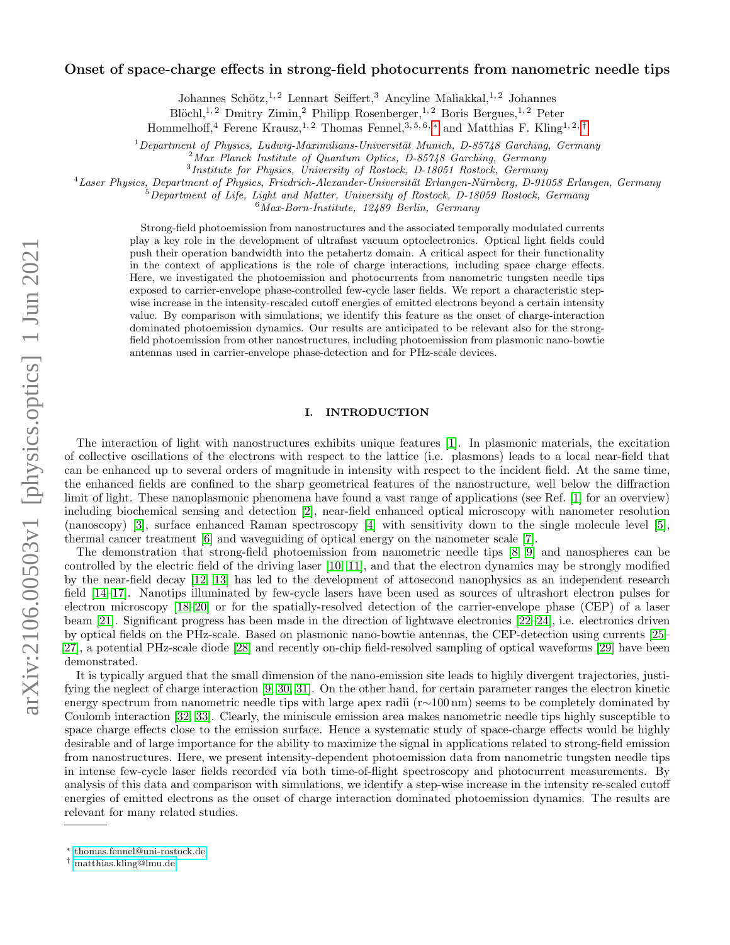# Onset of space-charge effects in strong-field photocurrents from nanometric needle tips

Johannes Schötz, <sup>1, 2</sup> Lennart Seiffert, <sup>3</sup> Ancyline Maliakkal, <sup>1, 2</sup> Johannes

Blöchl,<sup>1,2</sup> Dmitry Zimin,<sup>2</sup> Philipp Rosenberger,<sup>1,2</sup> Boris Bergues,<sup>1,2</sup> Peter

Hommelhoff,<sup>4</sup> Ferenc Krausz,<sup>1,2</sup> Thomas Fennel,  $3,5,6,*$  and Matthias F. Kling<sup>1,2,[†](#page-0-1)</sup>

 $1$ Department of Physics, Ludwig-Maximilians-Universität Munich, D-85748 Garching, Germany

 $2\text{ Max Planck Institute of Quantum Optics, D-85748 Garching, Germany}$ 

<sup>3</sup>Institute for Physics, University of Rostock, D-18051 Rostock, Germany

<sup>4</sup>Laser Physics, Department of Physics, Friedrich-Alexander-Universität Erlangen-Nürnberg, D-91058 Erlangen, Germany

 $5$ Department of Life, Light and Matter, University of Rostock, D-18059 Rostock, Germany

 $6$ Max-Born-Institute, 12489 Berlin, Germany

Strong-field photoemission from nanostructures and the associated temporally modulated currents play a key role in the development of ultrafast vacuum optoelectronics. Optical light fields could push their operation bandwidth into the petahertz domain. A critical aspect for their functionality in the context of applications is the role of charge interactions, including space charge effects. Here, we investigated the photoemission and photocurrents from nanometric tungsten needle tips exposed to carrier-envelope phase-controlled few-cycle laser fields. We report a characteristic stepwise increase in the intensity-rescaled cutoff energies of emitted electrons beyond a certain intensity value. By comparison with simulations, we identify this feature as the onset of charge-interaction dominated photoemission dynamics. Our results are anticipated to be relevant also for the strongfield photoemission from other nanostructures, including photoemission from plasmonic nano-bowtie antennas used in carrier-envelope phase-detection and for PHz-scale devices.

## I. INTRODUCTION

The interaction of light with nanostructures exhibits unique features [\[1\]](#page-4-0). In plasmonic materials, the excitation of collective oscillations of the electrons with respect to the lattice (i.e. plasmons) leads to a local near-field that can be enhanced up to several orders of magnitude in intensity with respect to the incident field. At the same time, the enhanced fields are confined to the sharp geometrical features of the nanostructure, well below the diffraction limit of light. These nanoplasmonic phenomena have found a vast range of applications (see Ref. [\[1\]](#page-4-0) for an overview) including biochemical sensing and detection [\[2\]](#page-4-1), near-field enhanced optical microscopy with nanometer resolution (nanoscopy) [\[3\]](#page-4-2), surface enhanced Raman spectroscopy [\[4\]](#page-5-0) with sensitivity down to the single molecule level [\[5\]](#page-5-1), thermal cancer treatment [\[6\]](#page-5-2) and waveguiding of optical energy on the nanometer scale [\[7\]](#page-5-3).

The demonstration that strong-field photoemission from nanometric needle tips [\[8,](#page-5-4) [9\]](#page-5-5) and nanospheres can be controlled by the electric field of the driving laser [\[10,](#page-5-6) [11\]](#page-5-7), and that the electron dynamics may be strongly modified by the near-field decay [\[12,](#page-5-8) [13\]](#page-5-9) has led to the development of attosecond nanophysics as an independent research field [\[14](#page-5-10)[–17\]](#page-5-11). Nanotips illuminated by few-cycle lasers have been used as sources of ultrashort electron pulses for electron microscopy [\[18](#page-5-12)[–20\]](#page-5-13) or for the spatially-resolved detection of the carrier-envelope phase (CEP) of a laser beam [\[21\]](#page-5-14). Significant progress has been made in the direction of lightwave electronics [\[22–](#page-5-15)[24\]](#page-5-16), i.e. electronics driven by optical fields on the PHz-scale. Based on plasmonic nano-bowtie antennas, the CEP-detection using currents [\[25–](#page-5-17) [27\]](#page-5-18), a potential PHz-scale diode [\[28\]](#page-5-19) and recently on-chip field-resolved sampling of optical waveforms [\[29\]](#page-5-20) have been demonstrated.

It is typically argued that the small dimension of the nano-emission site leads to highly divergent trajectories, justifying the neglect of charge interaction [\[9,](#page-5-5) [30,](#page-5-21) [31\]](#page-5-22). On the other hand, for certain parameter ranges the electron kinetic energy spectrum from nanometric needle tips with large apex radii (r∼100 nm) seems to be completely dominated by Coulomb interaction [\[32,](#page-5-23) [33\]](#page-5-24). Clearly, the miniscule emission area makes nanometric needle tips highly susceptible to space charge effects close to the emission surface. Hence a systematic study of space-charge effects would be highly desirable and of large importance for the ability to maximize the signal in applications related to strong-field emission from nanostructures. Here, we present intensity-dependent photoemission data from nanometric tungsten needle tips in intense few-cycle laser fields recorded via both time-of-flight spectroscopy and photocurrent measurements. By analysis of this data and comparison with simulations, we identify a step-wise increase in the intensity re-scaled cutoff energies of emitted electrons as the onset of charge interaction dominated photoemission dynamics. The results are relevant for many related studies.

<span id="page-0-0"></span><sup>∗</sup> [thomas.fennel@uni-rostock.de](mailto:thomas.fennel@uni-rostock.de)

<span id="page-0-1"></span><sup>†</sup> [matthias.kling@lmu.de](mailto:matthias.kling@lmu.de)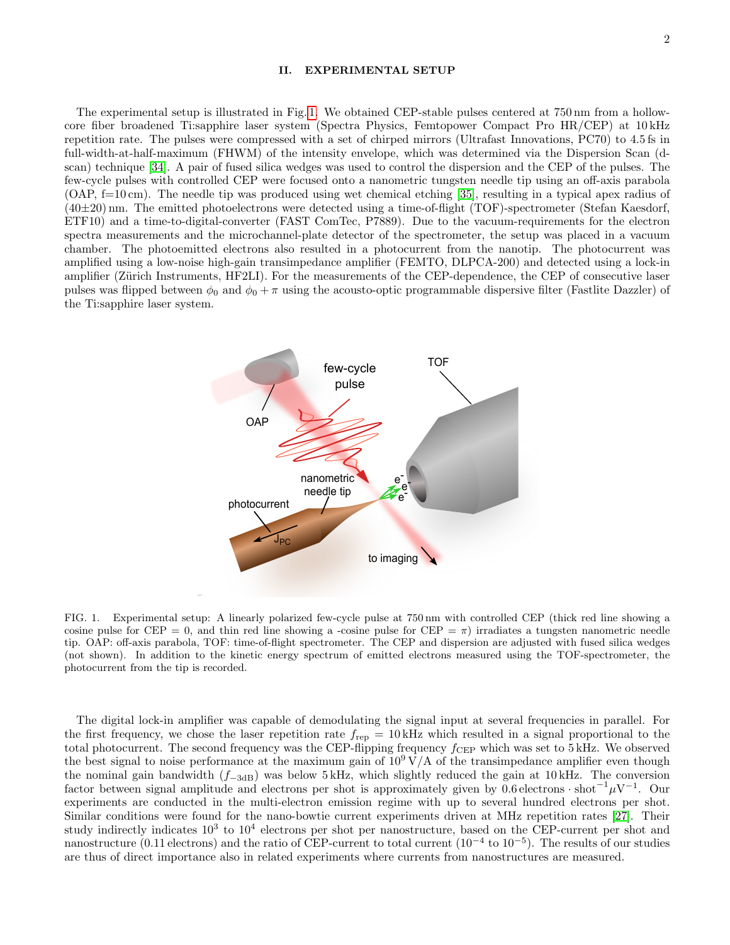#### II. EXPERIMENTAL SETUP

The experimental setup is illustrated in Fig. [1.](#page-1-0) We obtained CEP-stable pulses centered at 750 nm from a hollowcore fiber broadened Ti:sapphire laser system (Spectra Physics, Femtopower Compact Pro HR/CEP) at 10 kHz repetition rate. The pulses were compressed with a set of chirped mirrors (Ultrafast Innovations, PC70) to 4.5 fs in full-width-at-half-maximum (FHWM) of the intensity envelope, which was determined via the Dispersion Scan (dscan) technique [\[34\]](#page-5-25). A pair of fused silica wedges was used to control the dispersion and the CEP of the pulses. The few-cycle pulses with controlled CEP were focused onto a nanometric tungsten needle tip using an off-axis parabola (OAP, f=10 cm). The needle tip was produced using wet chemical etching [\[35\]](#page-5-26), resulting in a typical apex radius of (40±20) nm. The emitted photoelectrons were detected using a time-of-flight (TOF)-spectrometer (Stefan Kaesdorf, ETF10) and a time-to-digital-converter (FAST ComTec, P7889). Due to the vacuum-requirements for the electron spectra measurements and the microchannel-plate detector of the spectrometer, the setup was placed in a vacuum chamber. The photoemitted electrons also resulted in a photocurrent from the nanotip. The photocurrent was amplified using a low-noise high-gain transimpedance amplifier (FEMTO, DLPCA-200) and detected using a lock-in amplifier (Zürich Instruments, HF2LI). For the measurements of the CEP-dependence, the CEP of consecutive laser pulses was flipped between  $\phi_0$  and  $\phi_0 + \pi$  using the acousto-optic programmable dispersive filter (Fastlite Dazzler) of the Ti:sapphire laser system.



<span id="page-1-0"></span>FIG. 1. Experimental setup: A linearly polarized few-cycle pulse at 750 nm with controlled CEP (thick red line showing a cosine pulse for CEP = 0, and thin red line showing a -cosine pulse for CEP =  $\pi$ ) irradiates a tungsten nanometric needle tip. OAP: off-axis parabola, TOF: time-of-flight spectrometer. The CEP and dispersion are adjusted with fused silica wedges (not shown). In addition to the kinetic energy spectrum of emitted electrons measured using the TOF-spectrometer, the photocurrent from the tip is recorded.

The digital lock-in amplifier was capable of demodulating the signal input at several frequencies in parallel. For the first frequency, we chose the laser repetition rate  $f_{\text{rep}} = 10 \text{ kHz}$  which resulted in a signal proportional to the total photocurrent. The second frequency was the CEP-flipping frequency  $f_{CEP}$  which was set to 5 kHz. We observed the best signal to noise performance at the maximum gain of  $10^9 \text{ V/A}$  of the transimpedance amplifier even though the nominal gain bandwidth  $(f<sub>-3dB</sub>)$  was below 5 kHz, which slightly reduced the gain at 10 kHz. The conversion factor between signal amplitude and electrons per shot is approximately given by  $0.6$  electrons · shot<sup>-1</sup> $\mu$ V<sup>-1</sup>. Our experiments are conducted in the multi-electron emission regime with up to several hundred electrons per shot. Similar conditions were found for the nano-bowtie current experiments driven at MHz repetition rates [\[27\]](#page-5-18). Their study indirectly indicates  $10^3$  to  $10^4$  electrons per shot per nanostructure, based on the CEP-current per shot and nanostructure (0.11 electrons) and the ratio of CEP-current to total current ( $10^{-4}$  to  $10^{-5}$ ). The results of our studies are thus of direct importance also in related experiments where currents from nanostructures are measured.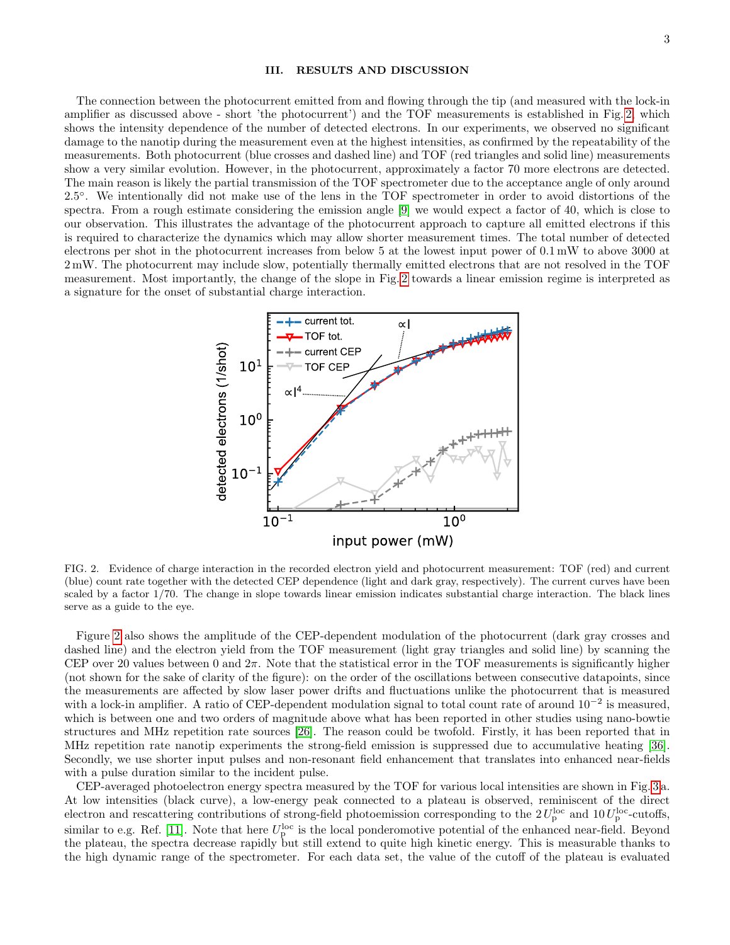## III. RESULTS AND DISCUSSION

The connection between the photocurrent emitted from and flowing through the tip (and measured with the lock-in amplifier as discussed above - short 'the photocurrent') and the TOF measurements is established in Fig. [2,](#page-2-0) which shows the intensity dependence of the number of detected electrons. In our experiments, we observed no significant damage to the nanotip during the measurement even at the highest intensities, as confirmed by the repeatability of the measurements. Both photocurrent (blue crosses and dashed line) and TOF (red triangles and solid line) measurements show a very similar evolution. However, in the photocurrent, approximately a factor 70 more electrons are detected. The main reason is likely the partial transmission of the TOF spectrometer due to the acceptance angle of only around 2.5◦ . We intentionally did not make use of the lens in the TOF spectrometer in order to avoid distortions of the spectra. From a rough estimate considering the emission angle [\[9\]](#page-5-5) we would expect a factor of 40, which is close to our observation. This illustrates the advantage of the photocurrent approach to capture all emitted electrons if this is required to characterize the dynamics which may allow shorter measurement times. The total number of detected electrons per shot in the photocurrent increases from below 5 at the lowest input power of 0.1 mW to above 3000 at 2 mW. The photocurrent may include slow, potentially thermally emitted electrons that are not resolved in the TOF measurement. Most importantly, the change of the slope in Fig. [2](#page-2-0) towards a linear emission regime is interpreted as a signature for the onset of substantial charge interaction.



<span id="page-2-0"></span>FIG. 2. Evidence of charge interaction in the recorded electron yield and photocurrent measurement: TOF (red) and current (blue) count rate together with the detected CEP dependence (light and dark gray, respectively). The current curves have been scaled by a factor 1/70. The change in slope towards linear emission indicates substantial charge interaction. The black lines serve as a guide to the eye.

Figure [2](#page-2-0) also shows the amplitude of the CEP-dependent modulation of the photocurrent (dark gray crosses and dashed line) and the electron yield from the TOF measurement (light gray triangles and solid line) by scanning the CEP over 20 values between 0 and  $2\pi$ . Note that the statistical error in the TOF measurements is significantly higher (not shown for the sake of clarity of the figure): on the order of the oscillations between consecutive datapoints, since the measurements are affected by slow laser power drifts and fluctuations unlike the photocurrent that is measured with a lock-in amplifier. A ratio of CEP-dependent modulation signal to total count rate of around 10<sup>−</sup><sup>2</sup> is measured, which is between one and two orders of magnitude above what has been reported in other studies using nano-bowtie structures and MHz repetition rate sources [\[26\]](#page-5-27). The reason could be twofold. Firstly, it has been reported that in MHz repetition rate nanotip experiments the strong-field emission is suppressed due to accumulative heating [\[36\]](#page-5-28). Secondly, we use shorter input pulses and non-resonant field enhancement that translates into enhanced near-fields with a pulse duration similar to the incident pulse.

CEP-averaged photoelectron energy spectra measured by the TOF for various local intensities are shown in Fig. [3 a](#page-3-0). At low intensities (black curve), a low-energy peak connected to a plateau is observed, reminiscent of the direct electron and rescattering contributions of strong-field photoemission corresponding to the  $2 U_{\rm p}^{\rm loc}$  and  $10 U_{\rm p}^{\rm loc}$ -cutoffs, similar to e.g. Ref. [\[11\]](#page-5-7). Note that here  $U_p^{\text{loc}}$  is the local ponderomotive potential of the enhanced near-field. Beyond shimal to e.g. Ref. [11]. Note that here  $\sigma_{\rm p}$  is the local ponderomotive potential of the emilanced hear-heid. Beyond the plateau, the spectra decrease rapidly but still extend to quite high kinetic energy. This is m the high dynamic range of the spectrometer. For each data set, the value of the cutoff of the plateau is evaluated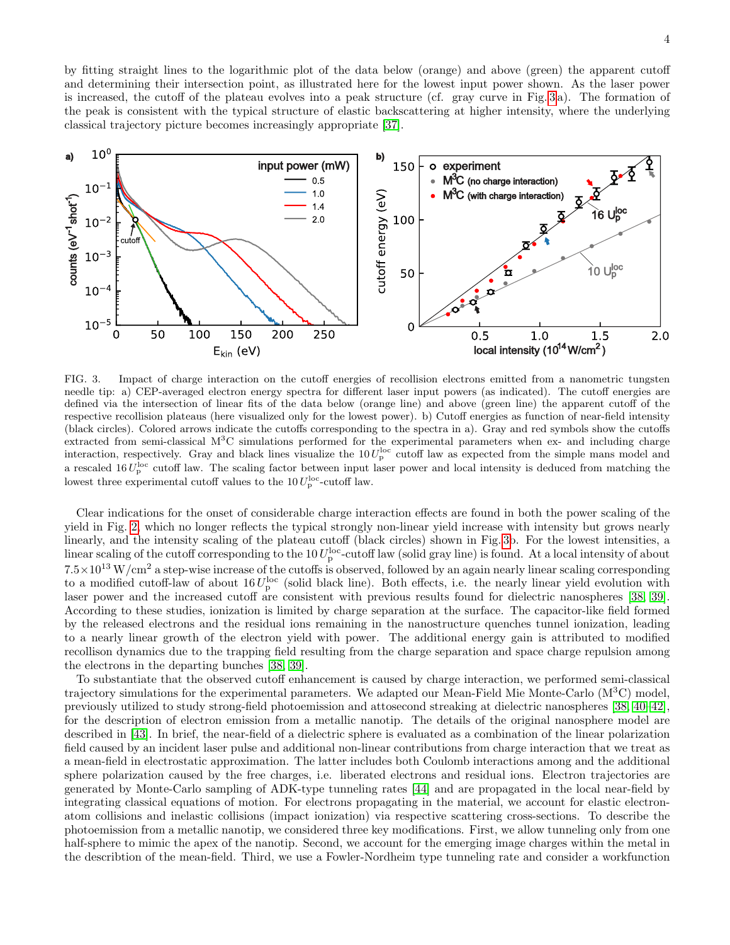4

by fitting straight lines to the logarithmic plot of the data below (orange) and above (green) the apparent cutoff and determining their intersection point, as illustrated here for the lowest input power shown. As the laser power is increased, the cutoff of the plateau evolves into a peak structure (cf. gray curve in Fig. [3](#page-3-0) a). The formation of the peak is consistent with the typical structure of elastic backscattering at higher intensity, where the underlying classical trajectory picture becomes increasingly appropriate [\[37\]](#page-5-29).



<span id="page-3-0"></span>FIG. 3. Impact of charge interaction on the cutoff energies of recollision electrons emitted from a nanometric tungsten needle tip: a) CEP-averaged electron energy spectra for different laser input powers (as indicated). The cutoff energies are defined via the intersection of linear fits of the data below (orange line) and above (green line) the apparent cutoff of the respective recollision plateaus (here visualized only for the lowest power). b) Cutoff energies as function of near-field intensity (black circles). Colored arrows indicate the cutoffs corresponding to the spectra in a). Gray and red symbols show the cutoffs extracted from semi-classical  $M<sup>3</sup>C$  simulations performed for the experimental parameters when ex- and including charge interaction, respectively. Gray and black lines visualize the  $10 U_p^{\text{loc}}$  cutoff law as expected from the simple mans model and a rescaled 16  $U_{\rm p}^{\rm loc}$  cutoff law. The scaling factor between input laser power and local intensity is deduced from matching the lowest three experimental cutoff values to the  $10 U_{p}^{\text{loc}}$ -cutoff law.

Clear indications for the onset of considerable charge interaction effects are found in both the power scaling of the yield in Fig. [2,](#page-2-0) which no longer reflects the typical strongly non-linear yield increase with intensity but grows nearly linearly, and the intensity scaling of the plateau cutoff (black circles) shown in Fig. [3b](#page-3-0). For the lowest intensities, a linear scaling of the cutoff corresponding to the  $10 U_p^{\text{loc}}$ -cutoff law (solid gray line) is found. At a local intensity of about  $7.5\times10^{13}$  W/cm<sup>2</sup> a step-wise increase of the cutoffs is observed, followed by an again nearly linear scaling corresponding to a modified cutoff-law of about  $16 U_{\rm p}^{\rm loc}$  (solid black line). Both effects, i.e. the nearly linear yield evolution with laser power and the increased cutoff are consistent with previous results found for dielectric nanospheres [\[38,](#page-5-30) [39\]](#page-5-31). According to these studies, ionization is limited by charge separation at the surface. The capacitor-like field formed by the released electrons and the residual ions remaining in the nanostructure quenches tunnel ionization, leading to a nearly linear growth of the electron yield with power. The additional energy gain is attributed to modified recollison dynamics due to the trapping field resulting from the charge separation and space charge repulsion among the electrons in the departing bunches [\[38,](#page-5-30) [39\]](#page-5-31).

To substantiate that the observed cutoff enhancement is caused by charge interaction, we performed semi-classical trajectory simulations for the experimental parameters. We adapted our Mean-Field Mie Monte-Carlo  $(M^{3}C)$  model, previously utilized to study strong-field photoemission and attosecond streaking at dielectric nanospheres [\[38,](#page-5-30) [40–](#page-6-0)[42\]](#page-6-1), for the description of electron emission from a metallic nanotip. The details of the original nanosphere model are described in [\[43\]](#page-6-2). In brief, the near-field of a dielectric sphere is evaluated as a combination of the linear polarization field caused by an incident laser pulse and additional non-linear contributions from charge interaction that we treat as a mean-field in electrostatic approximation. The latter includes both Coulomb interactions among and the additional sphere polarization caused by the free charges, i.e. liberated electrons and residual ions. Electron trajectories are generated by Monte-Carlo sampling of ADK-type tunneling rates [\[44\]](#page-6-3) and are propagated in the local near-field by integrating classical equations of motion. For electrons propagating in the material, we account for elastic electronatom collisions and inelastic collisions (impact ionization) via respective scattering cross-sections. To describe the photoemission from a metallic nanotip, we considered three key modifications. First, we allow tunneling only from one half-sphere to mimic the apex of the nanotip. Second, we account for the emerging image charges within the metal in the describtion of the mean-field. Third, we use a Fowler-Nordheim type tunneling rate and consider a workfunction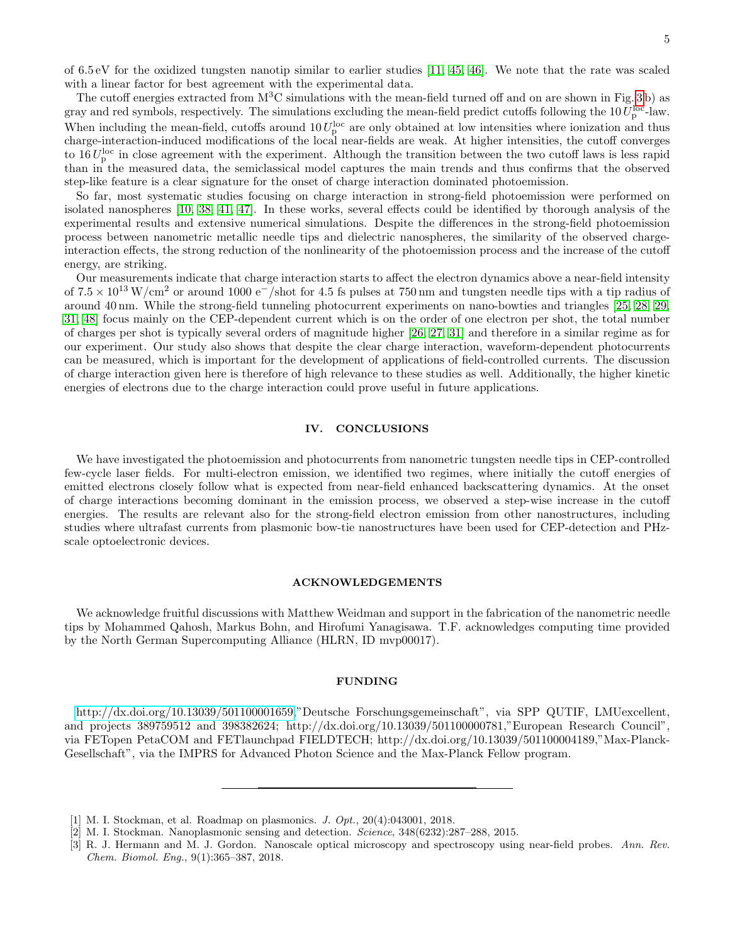of 6.5 eV for the oxidized tungsten nanotip similar to earlier studies [\[11,](#page-5-7) [45,](#page-6-4) [46\]](#page-6-5). We note that the rate was scaled with a linear factor for best agreement with the experimental data.

The cutoff energies extracted from  $M<sup>3</sup>C$  simulations with the mean-field turned off and on are shown in Fig. [3](#page-3-0) b) as gray and red symbols, respectively. The simulations excluding the mean-field predict cutoffs following the 10  $U_{\rm p}^{\rm loc}$ -law. When including the mean-field, cutoffs around  $10 U_p^{\text{loc}}$  are only obtained at low intensities where ionization and thus charge-interaction-induced modifications of the local near-fields are weak. At higher intensities, the cutoff converges to  $16 U_{\rm p}^{\rm loc}$  in close agreement with the experiment. Although the transition between the two cutoff laws is less rapid than in the measured data, the semiclassical model captures the main trends and thus confirms that the observed step-like feature is a clear signature for the onset of charge interaction dominated photoemission.

So far, most systematic studies focusing on charge interaction in strong-field photoemission were performed on isolated nanospheres [\[10,](#page-5-6) [38,](#page-5-30) [41,](#page-6-6) [47\]](#page-6-7). In these works, several effects could be identified by thorough analysis of the experimental results and extensive numerical simulations. Despite the differences in the strong-field photoemission process between nanometric metallic needle tips and dielectric nanospheres, the similarity of the observed chargeinteraction effects, the strong reduction of the nonlinearity of the photoemission process and the increase of the cutoff energy, are striking.

Our measurements indicate that charge interaction starts to affect the electron dynamics above a near-field intensity of  $7.5 \times 10^{13}$  W/cm<sup>2</sup> or around 1000 e<sup>-</sup>/shot for 4.5 fs pulses at 750 nm and tungsten needle tips with a tip radius of around 40 nm. While the strong-field tunneling photocurrent experiments on nano-bowties and triangles [\[25,](#page-5-17) [28,](#page-5-19) [29,](#page-5-20) [31,](#page-5-22) [48\]](#page-6-8) focus mainly on the CEP-dependent current which is on the order of one electron per shot, the total number of charges per shot is typically several orders of magnitude higher [\[26,](#page-5-27) [27,](#page-5-18) [31\]](#page-5-22) and therefore in a similar regime as for our experiment. Our study also shows that despite the clear charge interaction, waveform-dependent photocurrents can be measured, which is important for the development of applications of field-controlled currents. The discussion of charge interaction given here is therefore of high relevance to these studies as well. Additionally, the higher kinetic energies of electrons due to the charge interaction could prove useful in future applications.

## IV. CONCLUSIONS

We have investigated the photoemission and photocurrents from nanometric tungsten needle tips in CEP-controlled few-cycle laser fields. For multi-electron emission, we identified two regimes, where initially the cutoff energies of emitted electrons closely follow what is expected from near-field enhanced backscattering dynamics. At the onset of charge interactions becoming dominant in the emission process, we observed a step-wise increase in the cutoff energies. The results are relevant also for the strong-field electron emission from other nanostructures, including studies where ultrafast currents from plasmonic bow-tie nanostructures have been used for CEP-detection and PHzscale optoelectronic devices.

#### ACKNOWLEDGEMENTS

We acknowledge fruitful discussions with Matthew Weidman and support in the fabrication of the nanometric needle tips by Mohammed Qahosh, Markus Bohn, and Hirofumi Yanagisawa. T.F. acknowledges computing time provided by the North German Supercomputing Alliance (HLRN, ID mvp00017).

#### FUNDING

[http://dx.doi.org/10.13039/501100001659,](http://dx.doi.org/10.13039/501100001659)"Deutsche Forschungsgemeinschaft", via SPP QUTIF, LMUexcellent, and projects 389759512 and 398382624; http://dx.doi.org/10.13039/501100000781,"European Research Council", via FETopen PetaCOM and FETlaunchpad FIELDTECH; http://dx.doi.org/10.13039/501100004189,"Max-Planck-Gesellschaft", via the IMPRS for Advanced Photon Science and the Max-Planck Fellow program.

<span id="page-4-0"></span><sup>[1]</sup> M. I. Stockman, et al. Roadmap on plasmonics. J. Opt., 20(4):043001, 2018.

<span id="page-4-1"></span><sup>[2]</sup> M. I. Stockman. Nanoplasmonic sensing and detection. Science, 348(6232):287–288, 2015.

<span id="page-4-2"></span><sup>[3]</sup> R. J. Hermann and M. J. Gordon. Nanoscale optical microscopy and spectroscopy using near-field probes. Ann. Rev. Chem. Biomol. Eng., 9(1):365–387, 2018.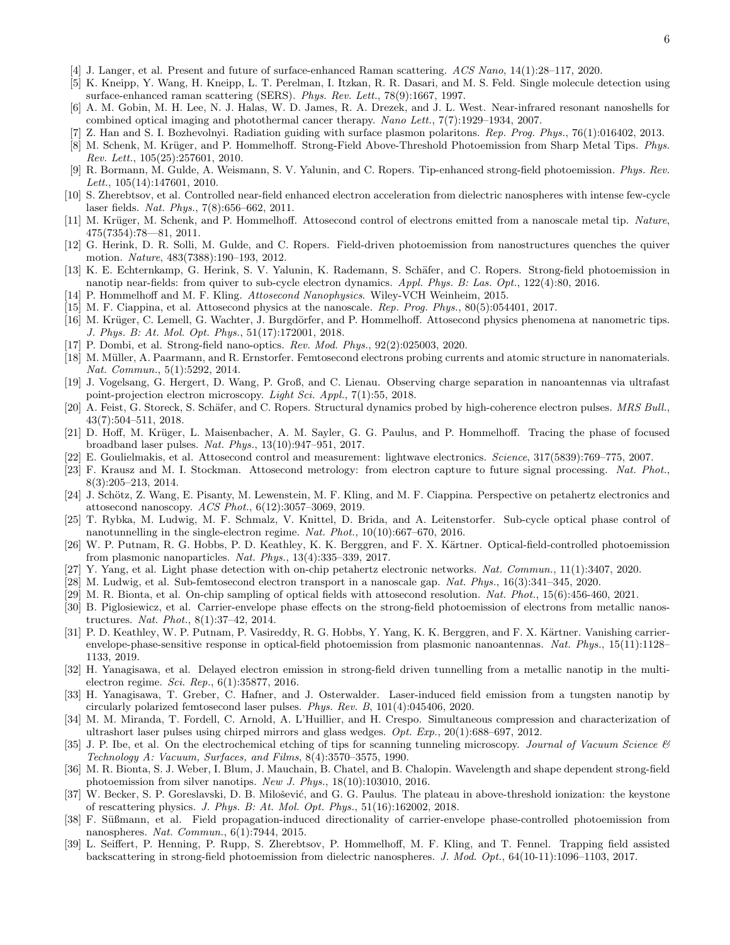- <span id="page-5-0"></span>[4] J. Langer, et al. Present and future of surface-enhanced Raman scattering. ACS Nano, 14(1):28–117, 2020.
- <span id="page-5-1"></span>[5] K. Kneipp, Y. Wang, H. Kneipp, L. T. Perelman, I. Itzkan, R. R. Dasari, and M. S. Feld. Single molecule detection using surface-enhanced raman scattering (SERS). Phys. Rev. Lett., 78(9):1667, 1997.
- <span id="page-5-2"></span>[6] A. M. Gobin, M. H. Lee, N. J. Halas, W. D. James, R. A. Drezek, and J. L. West. Near-infrared resonant nanoshells for combined optical imaging and photothermal cancer therapy. Nano Lett., 7(7):1929–1934, 2007.
- <span id="page-5-3"></span>[7] Z. Han and S. I. Bozhevolnyi. Radiation guiding with surface plasmon polaritons. Rep. Prog. Phys., 76(1):016402, 2013.
- <span id="page-5-4"></span>[8] M. Schenk, M. Krüger, and P. Hommelhoff. Strong-Field Above-Threshold Photoemission from Sharp Metal Tips. Phys. Rev. Lett., 105(25):257601, 2010.
- <span id="page-5-5"></span>[9] R. Bormann, M. Gulde, A. Weismann, S. V. Yalunin, and C. Ropers. Tip-enhanced strong-field photoemission. Phys. Rev. Lett., 105(14):147601, 2010.
- <span id="page-5-6"></span>[10] S. Zherebtsov, et al. Controlled near-field enhanced electron acceleration from dielectric nanospheres with intense few-cycle laser fields. Nat. Phys., 7(8):656–662, 2011.
- <span id="page-5-7"></span>[11] M. Krüger, M. Schenk, and P. Hommelhoff. Attosecond control of electrons emitted from a nanoscale metal tip. Nature,  $475(7354):78-81, 2011.$
- <span id="page-5-8"></span>[12] G. Herink, D. R. Solli, M. Gulde, and C. Ropers. Field-driven photoemission from nanostructures quenches the quiver motion. Nature, 483(7388):190–193, 2012.
- <span id="page-5-9"></span>[13] K. E. Echternkamp, G. Herink, S. V. Yalunin, K. Rademann, S. Schäfer, and C. Ropers. Strong-field photoemission in nanotip near-fields: from quiver to sub-cycle electron dynamics. Appl. Phys. B: Las. Opt., 122(4):80, 2016.
- <span id="page-5-10"></span>[14] P. Hommelhoff and M. F. Kling. Attosecond Nanophysics. Wiley-VCH Weinheim, 2015.
- [15] M. F. Ciappina, et al. Attosecond physics at the nanoscale. Rep. Prog. Phys., 80(5):054401, 2017.
- [16] M. Krüger, C. Lemell, G. Wachter, J. Burgdörfer, and P. Hommelhoff. Attosecond physics phenomena at nanometric tips. J. Phys. B: At. Mol. Opt. Phys., 51(17):172001, 2018.
- <span id="page-5-11"></span>[17] P. Dombi, et al. Strong-field nano-optics. Rev. Mod. Phys., 92(2):025003, 2020.
- <span id="page-5-12"></span>[18] M. Müller, A. Paarmann, and R. Ernstorfer. Femtosecond electrons probing currents and atomic structure in nanomaterials. Nat. Commun., 5(1):5292, 2014.
- [19] J. Vogelsang, G. Hergert, D. Wang, P. Groß, and C. Lienau. Observing charge separation in nanoantennas via ultrafast point-projection electron microscopy. Light Sci. Appl., 7(1):55, 2018.
- <span id="page-5-13"></span>[20] A. Feist, G. Storeck, S. Schäfer, and C. Ropers. Structural dynamics probed by high-coherence electron pulses. MRS Bull., 43(7):504–511, 2018.
- <span id="page-5-14"></span>[21] D. Hoff, M. Krüger, L. Maisenbacher, A. M. Sayler, G. G. Paulus, and P. Hommelhoff. Tracing the phase of focused broadband laser pulses. Nat. Phys., 13(10):947–951, 2017.
- <span id="page-5-15"></span>[22] E. Goulielmakis, et al. Attosecond control and measurement: lightwave electronics. Science, 317(5839):769–775, 2007.
- [23] F. Krausz and M. I. Stockman. Attosecond metrology: from electron capture to future signal processing. Nat. Phot., 8(3):205–213, 2014.
- <span id="page-5-16"></span>[24] J. Schötz, Z. Wang, E. Pisanty, M. Lewenstein, M. F. Kling, and M. F. Ciappina. Perspective on petahertz electronics and attosecond nanoscopy. ACS Phot., 6(12):3057–3069, 2019.
- <span id="page-5-17"></span>[25] T. Rybka, M. Ludwig, M. F. Schmalz, V. Knittel, D. Brida, and A. Leitenstorfer. Sub-cycle optical phase control of nanotunnelling in the single-electron regime. Nat. Phot., 10(10):667–670, 2016.
- <span id="page-5-27"></span>[26] W. P. Putnam, R. G. Hobbs, P. D. Keathley, K. K. Berggren, and F. X. Kärtner. Optical-field-controlled photoemission from plasmonic nanoparticles. Nat. Phys., 13(4):335–339, 2017.
- <span id="page-5-18"></span>[27] Y. Yang, et al. Light phase detection with on-chip petahertz electronic networks. Nat. Commun., 11(1):3407, 2020.
- <span id="page-5-19"></span>[28] M. Ludwig, et al. Sub-femtosecond electron transport in a nanoscale gap. Nat. Phys., 16(3):341–345, 2020.
- <span id="page-5-20"></span>[29] M. R. Bionta, et al. On-chip sampling of optical fields with attosecond resolution. Nat. Phot.,  $15(6):456-460$ ,  $2021$ .
- <span id="page-5-21"></span>[30] B. Piglosiewicz, et al. Carrier-envelope phase effects on the strong-field photoemission of electrons from metallic nanostructures. Nat. Phot., 8(1):37–42, 2014.
- <span id="page-5-22"></span>[31] P. D. Keathley, W. P. Putnam, P. Vasireddy, R. G. Hobbs, Y. Yang, K. K. Berggren, and F. X. Kärtner. Vanishing carrierenvelope-phase-sensitive response in optical-field photoemission from plasmonic nanoantennas. Nat. Phys., 15(11):1128– 1133, 2019.
- <span id="page-5-23"></span>[32] H. Yanagisawa, et al. Delayed electron emission in strong-field driven tunnelling from a metallic nanotip in the multielectron regime. Sci. Rep., 6(1):35877, 2016.
- <span id="page-5-24"></span>[33] H. Yanagisawa, T. Greber, C. Hafner, and J. Osterwalder. Laser-induced field emission from a tungsten nanotip by circularly polarized femtosecond laser pulses. Phys. Rev. B, 101(4):045406, 2020.
- <span id="page-5-25"></span>[34] M. M. Miranda, T. Fordell, C. Arnold, A. L'Huillier, and H. Crespo. Simultaneous compression and characterization of ultrashort laser pulses using chirped mirrors and glass wedges.  $Opt. Exp.$ ,  $20(1):688-697, 2012.$
- <span id="page-5-26"></span>[35] J. P. Ibe, et al. On the electrochemical etching of tips for scanning tunneling microscopy. Journal of Vacuum Science  $\mathcal{B}$ Technology A: Vacuum, Surfaces, and Films, 8(4):3570–3575, 1990.
- <span id="page-5-28"></span>[36] M. R. Bionta, S. J. Weber, I. Blum, J. Mauchain, B. Chatel, and B. Chalopin. Wavelength and shape dependent strong-field photoemission from silver nanotips. New J. Phys., 18(10):103010, 2016.
- <span id="page-5-29"></span>[37] W. Becker, S. P. Goreslavski, D. B. Milošević, and G. G. Paulus. The plateau in above-threshold ionization: the keystone of rescattering physics. J. Phys. B: At. Mol. Opt. Phys., 51(16):162002, 2018.
- <span id="page-5-30"></span>[38] F. Süßmann, et al. Field propagation-induced directionality of carrier-envelope phase-controlled photoemission from nanospheres. Nat. Commun., 6(1):7944, 2015.
- <span id="page-5-31"></span>[39] L. Seiffert, P. Henning, P. Rupp, S. Zherebtsov, P. Hommelhoff, M. F. Kling, and T. Fennel. Trapping field assisted backscattering in strong-field photoemission from dielectric nanospheres. J. Mod. Opt., 64(10-11):1096–1103, 2017.